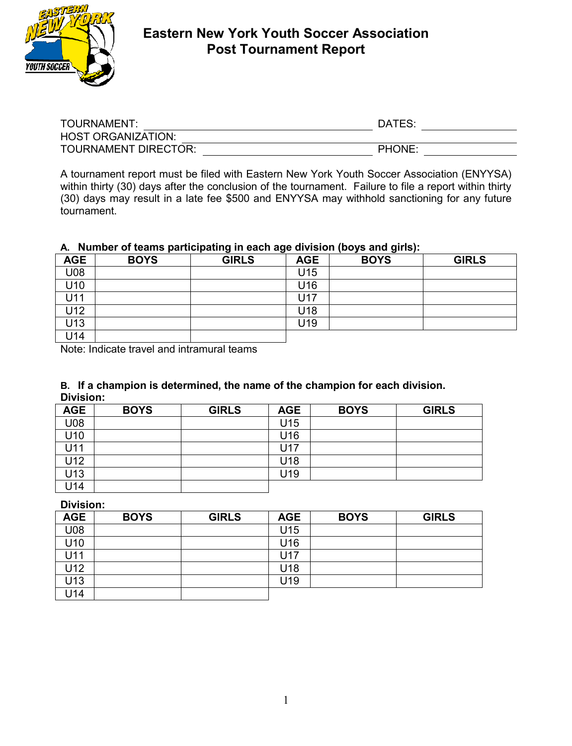

# **Eastern New York Youth Soccer Association Post Tournament Report**

| TOURNAMENT:               | DATES:        |  |
|---------------------------|---------------|--|
| <b>HOST ORGANIZATION:</b> |               |  |
| TOURNAMENT DIRECTOR:      | <b>PHONE:</b> |  |

A tournament report must be filed with Eastern New York Youth Soccer Association (ENYYSA) within thirty (30) days after the conclusion of the tournament. Failure to file a report within thirty (30) days may result in a late fee \$500 and ENYYSA may withhold sanctioning for any future tournament.

# **A. Number of teams participating in each age division (boys and girls):**

| <b>AGE</b> | <b>BOYS</b> | . .<br>. .<br><b>GIRLS</b> | <b>AGE</b> | . .<br><b>BOYS</b> | <b>GIRLS</b> |
|------------|-------------|----------------------------|------------|--------------------|--------------|
| U08        |             |                            | U15        |                    |              |
| U10        |             |                            | U16        |                    |              |
| U11        |             |                            | U17        |                    |              |
| U12        |             |                            | U18        |                    |              |
| U13        |             |                            | U19        |                    |              |
| U14        |             |                            |            |                    |              |

Note: Indicate travel and intramural teams

#### **B. If a champion is determined, the name of the champion for each division. Division:**

| <b>AGE</b> | <b>BOYS</b> | <b>GIRLS</b> | <b>AGE</b> | <b>BOYS</b> | <b>GIRLS</b> |
|------------|-------------|--------------|------------|-------------|--------------|
| U08        |             |              | U15        |             |              |
| U10        |             |              | U16        |             |              |
| U11        |             |              | J17        |             |              |
| U12        |             |              | U18        |             |              |
| U13        |             |              | U19        |             |              |
| U14        |             |              |            |             |              |

**Division:**

| <b>AGE</b> | <b>BOYS</b> | <b>GIRLS</b> | <b>AGE</b> | <b>BOYS</b> | <b>GIRLS</b> |
|------------|-------------|--------------|------------|-------------|--------------|
| U08        |             |              | U15        |             |              |
| U10        |             |              | U16        |             |              |
| U11        |             |              | 17ل        |             |              |
| U12        |             |              | U18        |             |              |
| U13        |             |              | U19        |             |              |
| J14        |             |              |            |             |              |